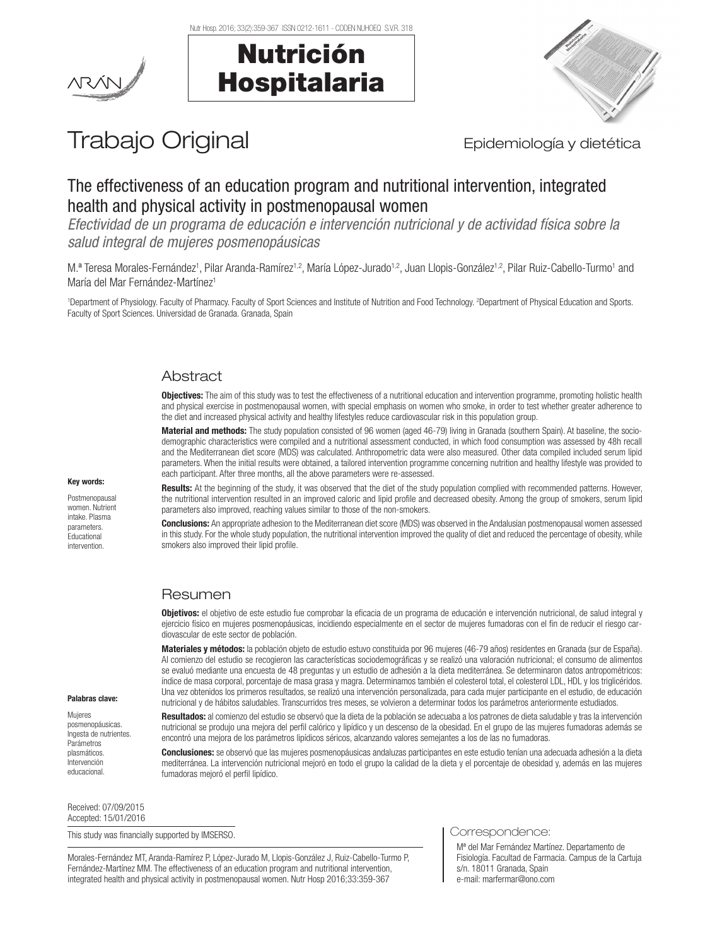Nutr Hosp. 2016; 33(2):359-367 ISSN 0212-1611 - CODEN NUHOEQ S.V.R. 318

Nutrición

Hospitalaria





# Trabajo Original **Epidemiología** y dietética

# The effectiveness of an education program and nutritional intervention, integrated health and physical activity in postmenopausal women

*Efectividad de un programa de educación e intervención nutricional y de actividad física sobre la salud integral de mujeres posmenopáusicas*

M.ª Teresa Morales-Fernández1, Pilar Aranda-Ramírez1.º, María López-Jurado1.º, Juan Llopis-González1.º, Pilar Ruiz-Cabello-Turmo1 and María del Mar Fernández-Martínez<sup>1</sup>

1 Department of Physiology. Faculty of Pharmacy. Faculty of Sport Sciences and Institute of Nutrition and Food Technology. 2 Department of Physical Education and Sports. Faculty of Sport Sciences. Universidad de Granada. Granada, Spain

# Abstract

Objectives: The aim of this study was to test the effectiveness of a nutritional education and intervention programme, promoting holistic health and physical exercise in postmenopausal women, with special emphasis on women who smoke, in order to test whether greater adherence to the diet and increased physical activity and healthy lifestyles reduce cardiovascular risk in this population group.

Material and methods: The study population consisted of 96 women (aged 46-79) living in Granada (southern Spain). At baseline, the sociodemographic characteristics were compiled and a nutritional assessment conducted, in which food consumption was assessed by 48h recall and the Mediterranean diet score (MDS) was calculated. Anthropometric data were also measured. Other data compiled included serum lipid parameters. When the initial results were obtained, a tailored intervention programme concerning nutrition and healthy lifestyle was provided to each participant. After three months, all the above parameters were re-assessed.

Results: At the beginning of the study, it was observed that the diet of the study population complied with recommended patterns. However, the nutritional intervention resulted in an improved caloric and lipid profile and decreased obesity. Among the group of smokers, serum lipid parameters also improved, reaching values similar to those of the non-smokers.

Conclusions: An appropriate adhesion to the Mediterranean diet score (MDS) was observed in the Andalusian postmenopausal women assessed in this study. For the whole study population, the nutritional intervention improved the quality of diet and reduced the percentage of obesity, while smokers also improved their lipid profile.

# Resumen

Objetivos: el objetivo de este estudio fue comprobar la eficacia de un programa de educación e intervención nutricional, de salud integral y ejercicio físico en mujeres posmenopáusicas, incidiendo especialmente en el sector de mujeres fumadoras con el fin de reducir el riesgo cardiovascular de este sector de población.

Materiales y métodos: la población objeto de estudio estuvo constituida por 96 mujeres (46-79 años) residentes en Granada (sur de España). Al comienzo del estudio se recogieron las características sociodemográficas y se realizó una valoración nutricional; el consumo de alimentos se evaluó mediante una encuesta de 48 preguntas y un estudio de adhesión a la dieta mediterránea. Se determinaron datos antropométricos: índice de masa corporal, porcentaje de masa grasa y magra. Determinamos también el colesterol total, el colesterol LDL, HDL y los triglicéridos. Una vez obtenidos los primeros resultados, se realizó una intervención personalizada, para cada mujer participante en el estudio, de educación nutricional y de hábitos saludables. Transcurridos tres meses, se volvieron a determinar todos los parámetros anteriormente estudiados.

Resultados: al comienzo del estudio se observó que la dieta de la población se adecuaba a los patrones de dieta saludable y tras la intervención nutricional se produjo una mejora del perfil calórico y lipídico y un descenso de la obesidad. En el grupo de las mujeres fumadoras además se encontró una mejora de los parámetros lipídicos séricos, alcanzando valores semejantes a los de las no fumadoras.

Conclusiones: se observó que las mujeres posmenopáusicas andaluzas participantes en este estudio tenían una adecuada adhesión a la dieta mediterránea. La intervención nutricional mejoró en todo el grupo la calidad de la dieta y el porcentaje de obesidad y, además en las mujeres fumadoras mejoró el perfil lipídico.

Received: 07/09/2015 Accepted: 15/01/2016

This study was financially supported by IMSERSO.

Morales-Fernández MT, Aranda-Ramírez P, López-Jurado M, Llopis-González J, Ruiz-Cabello-Turmo P, Fernández-Martínez MM. The effectiveness of an education program and nutritional intervention, integrated health and physical activity in postmenopausal women. Nutr Hosp 2016;33:359-367

#### Correspondence:

Mª del Mar Fernández Martínez. Departamento de Fisiología. Facultad de Farmacia. Campus de la Cartuja s/n. 18011 Granada, Spain e-mail: marfermar@ono.com

#### Key words: Postmenopausa

women. Nutrient intake. Plasma parameters. **Educational** intervention.

Palabras clave: Mujeres posmenopáusicas. Ingesta de nutrientes. Parámetros plasmáticos. **intervención** educacional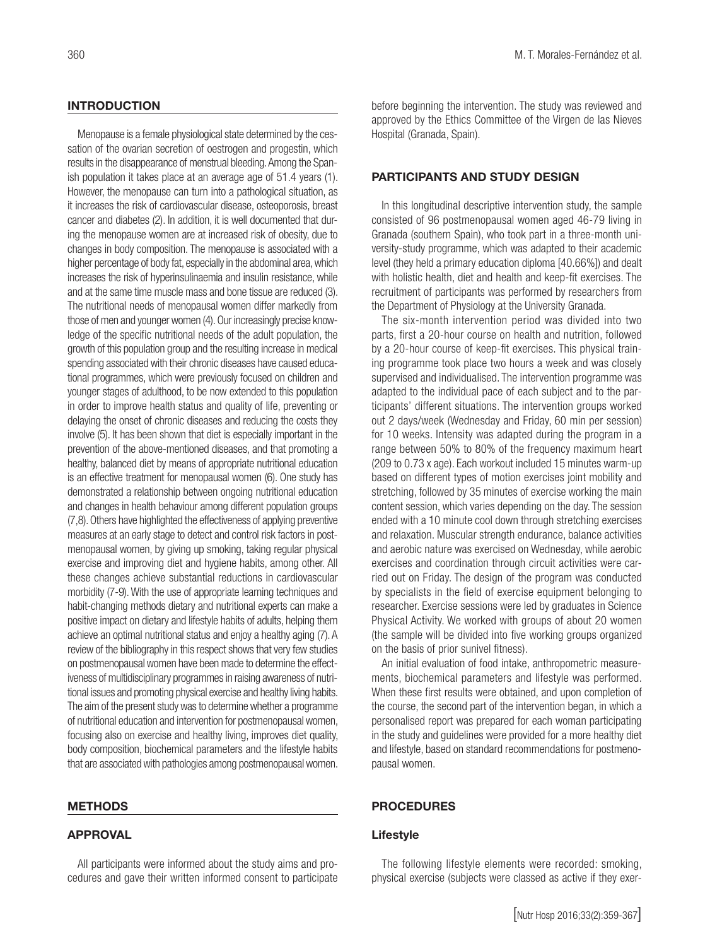# **INTRODUCTION**

Menopause is a female physiological state determined by the cessation of the ovarian secretion of oestrogen and progestin, which results in the disappearance of menstrual bleeding. Among the Spanish population it takes place at an average age of 51.4 years (1). However, the menopause can turn into a pathological situation, as it increases the risk of cardiovascular disease, osteoporosis, breast cancer and diabetes (2). In addition, it is well documented that during the menopause women are at increased risk of obesity, due to changes in body composition. The menopause is associated with a higher percentage of body fat, especially in the abdominal area, which increases the risk of hyperinsulinaemia and insulin resistance, while and at the same time muscle mass and bone tissue are reduced (3). The nutritional needs of menopausal women differ markedly from those of men and younger women (4). Our increasingly precise knowledge of the specific nutritional needs of the adult population, the growth of this population group and the resulting increase in medical spending associated with their chronic diseases have caused educational programmes, which were previously focused on children and younger stages of adulthood, to be now extended to this population in order to improve health status and quality of life, preventing or delaying the onset of chronic diseases and reducing the costs they involve (5). It has been shown that diet is especially important in the prevention of the above-mentioned diseases, and that promoting a healthy, balanced diet by means of appropriate nutritional education is an effective treatment for menopausal women (6). One study has demonstrated a relationship between ongoing nutritional education and changes in health behaviour among different population groups (7,8). Others have highlighted the effectiveness of applying preventive measures at an early stage to detect and control risk factors in postmenopausal women, by giving up smoking, taking regular physical exercise and improving diet and hygiene habits, among other. All these changes achieve substantial reductions in cardiovascular morbidity (7-9). With the use of appropriate learning techniques and habit-changing methods dietary and nutritional experts can make a positive impact on dietary and lifestyle habits of adults, helping them achieve an optimal nutritional status and enjoy a healthy aging (7). A review of the bibliography in this respect shows that very few studies on postmenopausal women have been made to determine the effectiveness of multidisciplinary programmes in raising awareness of nutritional issues and promoting physical exercise and healthy living habits. The aim of the present study was to determine whether a programme of nutritional education and intervention for postmenopausal women, focusing also on exercise and healthy living, improves diet quality, body composition, biochemical parameters and the lifestyle habits that are associated with pathologies among postmenopausal women.

#### METHODS

# APPROVAL

All participants were informed about the study aims and procedures and gave their written informed consent to participate before beginning the intervention. The study was reviewed and approved by the Ethics Committee of the Virgen de las Nieves Hospital (Granada, Spain).

# PARTICIPANTS AND STUDY DESIGN

In this longitudinal descriptive intervention study, the sample consisted of 96 postmenopausal women aged 46-79 living in Granada (southern Spain), who took part in a three-month university-study programme, which was adapted to their academic level (they held a primary education diploma [40.66%]) and dealt with holistic health, diet and health and keep-fit exercises. The recruitment of participants was performed by researchers from the Department of Physiology at the University Granada.

The six-month intervention period was divided into two parts, first a 20-hour course on health and nutrition, followed by a 20-hour course of keep-fit exercises. This physical training programme took place two hours a week and was closely supervised and individualised. The intervention programme was adapted to the individual pace of each subject and to the participants' different situations. The intervention groups worked out 2 days/week (Wednesday and Friday, 60 min per session) for 10 weeks. Intensity was adapted during the program in a range between 50% to 80% of the frequency maximum heart (209 to 0.73 x age). Each workout included 15 minutes warm-up based on different types of motion exercises joint mobility and stretching, followed by 35 minutes of exercise working the main content session, which varies depending on the day. The session ended with a 10 minute cool down through stretching exercises and relaxation. Muscular strength endurance, balance activities and aerobic nature was exercised on Wednesday, while aerobic exercises and coordination through circuit activities were carried out on Friday. The design of the program was conducted by specialists in the field of exercise equipment belonging to researcher. Exercise sessions were led by graduates in Science Physical Activity. We worked with groups of about 20 women (the sample will be divided into five working groups organized on the basis of prior sunivel fitness).

An initial evaluation of food intake, anthropometric measurements, biochemical parameters and lifestyle was performed. When these first results were obtained, and upon completion of the course, the second part of the intervention began, in which a personalised report was prepared for each woman participating in the study and guidelines were provided for a more healthy diet and lifestyle, based on standard recommendations for postmenopausal women.

# PROCEDURES

# Lifestyle

The following lifestyle elements were recorded: smoking, physical exercise (subjects were classed as active if they exer-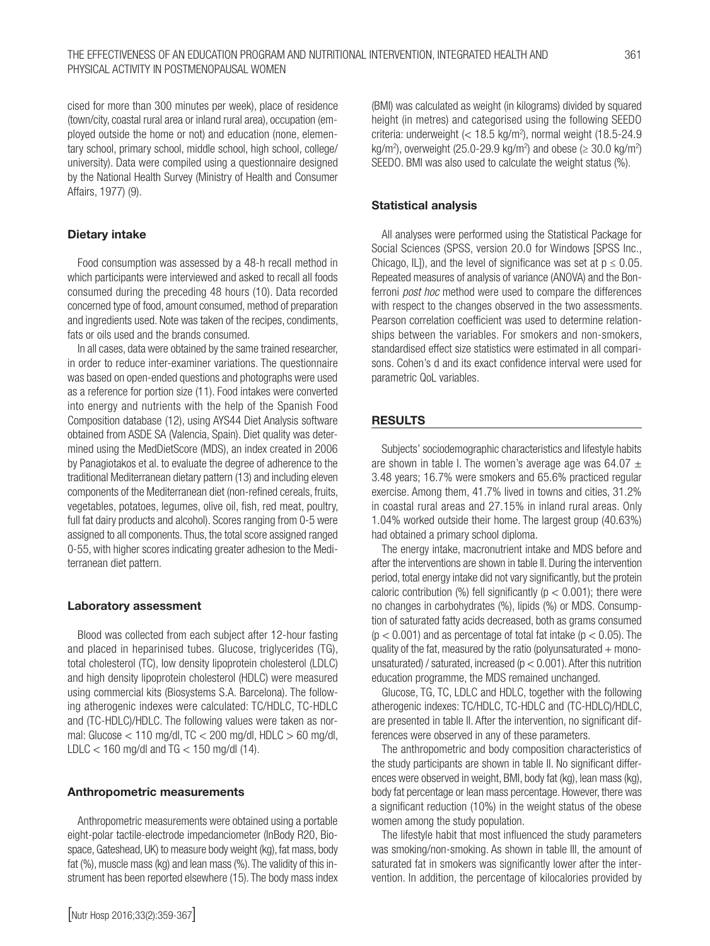cised for more than 300 minutes per week), place of residence (town/city, coastal rural area or inland rural area), occupation (employed outside the home or not) and education (none, elementary school, primary school, middle school, high school, college/ university). Data were compiled using a questionnaire designed by the National Health Survey (Ministry of Health and Consumer Affairs, 1977) (9).

# Dietary intake

Food consumption was assessed by a 48-h recall method in which participants were interviewed and asked to recall all foods consumed during the preceding 48 hours (10). Data recorded concerned type of food, amount consumed, method of preparation and ingredients used. Note was taken of the recipes, condiments, fats or oils used and the brands consumed.

In all cases, data were obtained by the same trained researcher, in order to reduce inter-examiner variations. The questionnaire was based on open-ended questions and photographs were used as a reference for portion size (11). Food intakes were converted into energy and nutrients with the help of the Spanish Food Composition database (12), using AYS44 Diet Analysis software obtained from ASDE SA (Valencia, Spain). Diet quality was determined using the MedDietScore (MDS), an index created in 2006 by Panagiotakos et al. to evaluate the degree of adherence to the traditional Mediterranean dietary pattern (13) and including eleven components of the Mediterranean diet (non-refined cereals, fruits, vegetables, potatoes, legumes, olive oil, fish, red meat, poultry, full fat dairy products and alcohol). Scores ranging from 0-5 were assigned to all components. Thus, the total score assigned ranged 0-55, with higher scores indicating greater adhesion to the Mediterranean diet pattern.

# Laboratory assessment

Blood was collected from each subject after 12-hour fasting and placed in heparinised tubes. Glucose, triglycerides (TG), total cholesterol (TC), low density lipoprotein cholesterol (LDLC) and high density lipoprotein cholesterol (HDLC) were measured using commercial kits (Biosystems S.A. Barcelona). The following atherogenic indexes were calculated: TC/HDLC, TC-HDLC and (TC-HDLC)/HDLC. The following values were taken as normal: Glucose < 110 mg/dl, TC < 200 mg/dl, HDLC > 60 mg/dl, LDLC  $<$  160 mg/dl and TG  $<$  150 mg/dl (14).

# Anthropometric measurements

Anthropometric measurements were obtained using a portable eight-polar tactile-electrode impedanciometer (InBody R20, Biospace, Gateshead, UK) to measure body weight (kg), fat mass, body fat (%), muscle mass (kg) and lean mass (%). The validity of this instrument has been reported elsewhere (15). The body mass index

# Statistical analysis

All analyses were performed using the Statistical Package for Social Sciences (SPSS, version 20.0 for Windows [SPSS Inc., Chicago, IL]), and the level of significance was set at  $p \le 0.05$ . Repeated measures of analysis of variance (ANOVA) and the Bonferroni *post hoc* method were used to compare the differences with respect to the changes observed in the two assessments. Pearson correlation coefficient was used to determine relationships between the variables. For smokers and non-smokers, standardised effect size statistics were estimated in all comparisons. Cohen's d and its exact confidence interval were used for parametric QoL variables.

# RESULTS

Subjects' sociodemographic characteristics and lifestyle habits are shown in table I. The women's average age was 64.07  $\pm$ 3.48 years; 16.7% were smokers and 65.6% practiced regular exercise. Among them, 41.7% lived in towns and cities, 31.2% in coastal rural areas and 27.15% in inland rural areas. Only 1.04% worked outside their home. The largest group (40.63%) had obtained a primary school diploma.

The energy intake, macronutrient intake and MDS before and after the interventions are shown in table II. During the intervention period, total energy intake did not vary significantly, but the protein caloric contribution (%) fell significantly ( $p < 0.001$ ); there were no changes in carbohydrates (%), lipids (%) or MDS. Consumption of saturated fatty acids decreased, both as grams consumed  $(p < 0.001)$  and as percentage of total fat intake  $(p < 0.05)$ . The quality of the fat, measured by the ratio (polyunsaturated  $+$  monounsaturated) / saturated, increased ( $p < 0.001$ ). After this nutrition education programme, the MDS remained unchanged.

Glucose, TG, TC, LDLC and HDLC, together with the following atherogenic indexes: TC/HDLC, TC-HDLC and (TC-HDLC)/HDLC, are presented in table II. After the intervention, no significant differences were observed in any of these parameters.

The anthropometric and body composition characteristics of the study participants are shown in table II. No significant differences were observed in weight, BMI, body fat (kg), lean mass (kg), body fat percentage or lean mass percentage. However, there was a significant reduction (10%) in the weight status of the obese women among the study population.

The lifestyle habit that most influenced the study parameters was smoking/non-smoking. As shown in table III, the amount of saturated fat in smokers was significantly lower after the intervention. In addition, the percentage of kilocalories provided by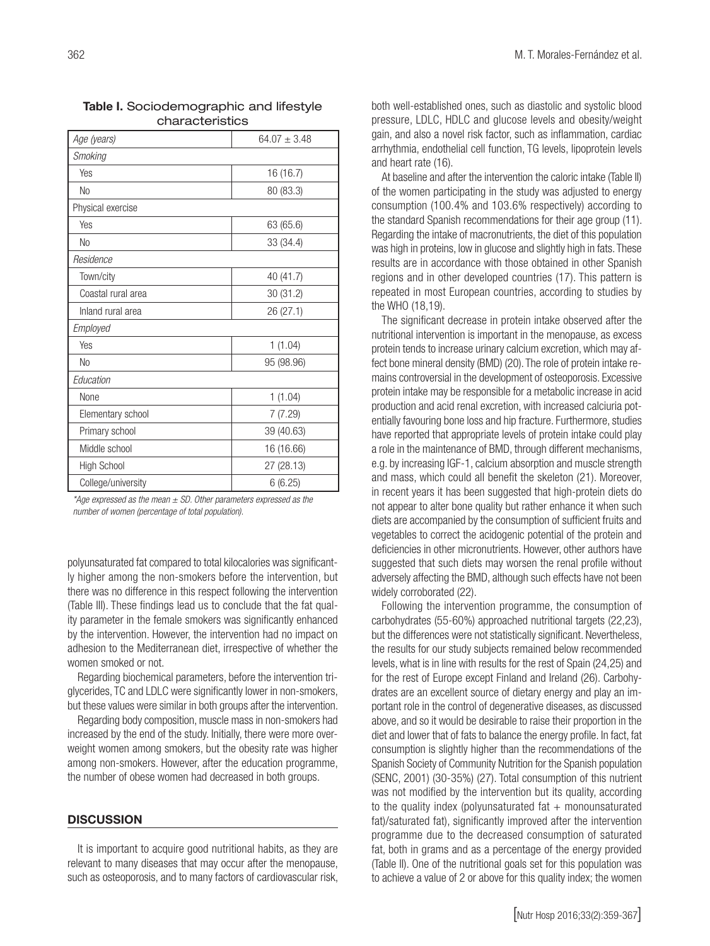| Age (years)        | $64.07 \pm 3.48$ |
|--------------------|------------------|
| <b>Smoking</b>     |                  |
| Yes                | 16 (16.7)        |
| <b>No</b>          | 80 (83.3)        |
| Physical exercise  |                  |
| Yes                | 63 (65.6)        |
| <b>No</b>          | 33 (34.4)        |
| Residence          |                  |
| Town/city          | 40 (41.7)        |
| Coastal rural area | 30 (31.2)        |
| Inland rural area  | 26 (27.1)        |
| Employed           |                  |
| Yes                | 1(1.04)          |
| <b>No</b>          | 95 (98.96)       |
| Education          |                  |
| None               | 1(1.04)          |
| Elementary school  | 7(7.29)          |
| Primary school     | 39 (40.63)       |
| Middle school      | 16 (16.66)       |
| <b>High School</b> | 27 (28.13)       |
| College/university | 6(6.25)          |

Table I. Sociodemographic and lifestyle characteristics

*\*Age expressed as the mean ± SD. Other parameters expressed as the number of women (percentage of total population).*

polyunsaturated fat compared to total kilocalories was significantly higher among the non-smokers before the intervention, but there was no difference in this respect following the intervention (Table III). These findings lead us to conclude that the fat quality parameter in the female smokers was significantly enhanced by the intervention. However, the intervention had no impact on adhesion to the Mediterranean diet, irrespective of whether the women smoked or not.

Regarding biochemical parameters, before the intervention triglycerides, TC and LDLC were significantly lower in non-smokers, but these values were similar in both groups after the intervention.

Regarding body composition, muscle mass in non-smokers had increased by the end of the study. Initially, there were more overweight women among smokers, but the obesity rate was higher among non-smokers. However, after the education programme, the number of obese women had decreased in both groups.

#### **DISCUSSION**

It is important to acquire good nutritional habits, as they are relevant to many diseases that may occur after the menopause, such as osteoporosis, and to many factors of cardiovascular risk, both well-established ones, such as diastolic and systolic blood pressure, LDLC, HDLC and glucose levels and obesity/weight gain, and also a novel risk factor, such as inflammation, cardiac arrhythmia, endothelial cell function, TG levels, lipoprotein levels and heart rate (16).

At baseline and after the intervention the caloric intake (Table II) of the women participating in the study was adjusted to energy consumption (100.4% and 103.6% respectively) according to the standard Spanish recommendations for their age group (11). Regarding the intake of macronutrients, the diet of this population was high in proteins, low in glucose and slightly high in fats. These results are in accordance with those obtained in other Spanish regions and in other developed countries (17). This pattern is repeated in most European countries, according to studies by the WHO (18,19).

The significant decrease in protein intake observed after the nutritional intervention is important in the menopause, as excess protein tends to increase urinary calcium excretion, which may affect bone mineral density (BMD) (20). The role of protein intake remains controversial in the development of osteoporosis. Excessive protein intake may be responsible for a metabolic increase in acid production and acid renal excretion, with increased calciuria potentially favouring bone loss and hip fracture. Furthermore, studies have reported that appropriate levels of protein intake could play a role in the maintenance of BMD, through different mechanisms, e.g. by increasing IGF-1, calcium absorption and muscle strength and mass, which could all benefit the skeleton (21). Moreover, in recent years it has been suggested that high-protein diets do not appear to alter bone quality but rather enhance it when such diets are accompanied by the consumption of sufficient fruits and vegetables to correct the acidogenic potential of the protein and deficiencies in other micronutrients. However, other authors have suggested that such diets may worsen the renal profile without adversely affecting the BMD, although such effects have not been widely corroborated (22).

Following the intervention programme, the consumption of carbohydrates (55-60%) approached nutritional targets (22,23), but the differences were not statistically significant. Nevertheless, the results for our study subjects remained below recommended levels, what is in line with results for the rest of Spain (24,25) and for the rest of Europe except Finland and Ireland (26). Carbohydrates are an excellent source of dietary energy and play an important role in the control of degenerative diseases, as discussed above, and so it would be desirable to raise their proportion in the diet and lower that of fats to balance the energy profile. In fact, fat consumption is slightly higher than the recommendations of the Spanish Society of Community Nutrition for the Spanish population (SENC, 2001) (30-35%) (27). Total consumption of this nutrient was not modified by the intervention but its quality, according to the quality index (polyunsaturated fat  $+$  monounsaturated fat)/saturated fat), significantly improved after the intervention programme due to the decreased consumption of saturated fat, both in grams and as a percentage of the energy provided (Table II). One of the nutritional goals set for this population was to achieve a value of 2 or above for this quality index; the women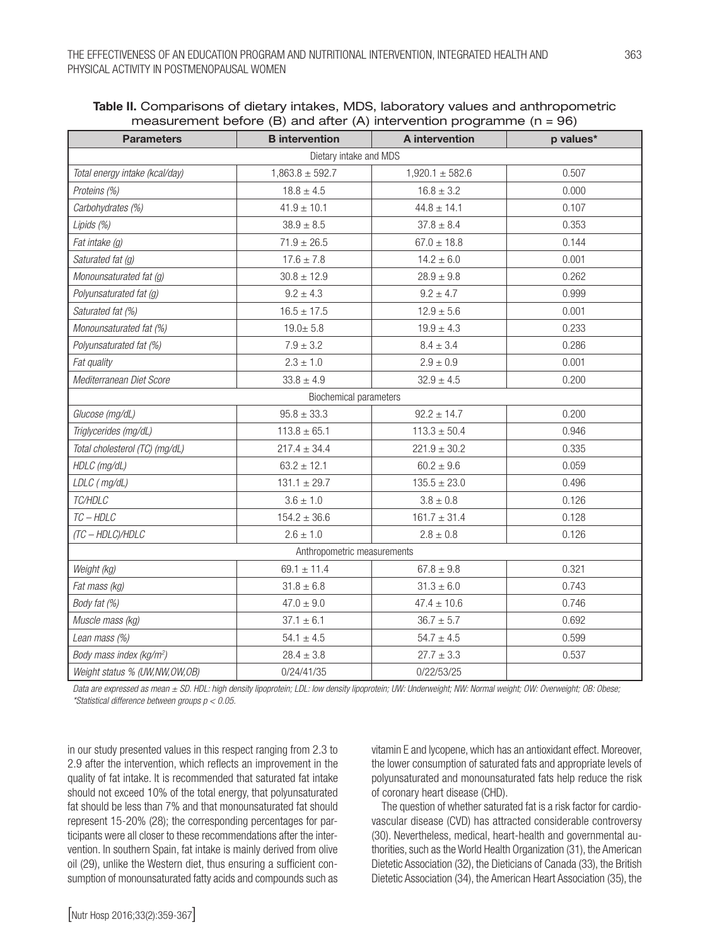| <b>Parameters</b>                    | <b>B</b> intervention         | $\left( -\right)$ and answer $\left( \cdot \right)$ measurement programme $\left( \cdot \right)$<br>A intervention | p values* |
|--------------------------------------|-------------------------------|--------------------------------------------------------------------------------------------------------------------|-----------|
|                                      | Dietary intake and MDS        |                                                                                                                    |           |
| Total energy intake (kcal/day)       | $1,863.8 \pm 592.7$           | $1,920.1 \pm 582.6$                                                                                                | 0.507     |
| Proteins (%)                         | $18.8 \pm 4.5$                | $16.8 \pm 3.2$                                                                                                     | 0.000     |
| Carbohydrates (%)                    | $41.9 \pm 10.1$               | $44.8 \pm 14.1$                                                                                                    | 0.107     |
| Lipids (%)                           | $38.9 \pm 8.5$                | $37.8 \pm 8.4$                                                                                                     | 0.353     |
| Fat intake (g)                       | $71.9 \pm 26.5$               | $67.0 \pm 18.8$                                                                                                    | 0.144     |
| Saturated fat (g)                    | $17.6 \pm 7.8$                | $14.2 \pm 6.0$                                                                                                     | 0.001     |
| Monounsaturated fat (g)              | $30.8 \pm 12.9$               | $28.9 \pm 9.8$                                                                                                     | 0.262     |
| Polyunsaturated fat (g)              | $9.2 \pm 4.3$                 | $9.2 \pm 4.7$                                                                                                      | 0.999     |
| Saturated fat (%)                    | $16.5 \pm 17.5$               | $12.9 \pm 5.6$                                                                                                     | 0.001     |
| Monounsaturated fat (%)              | $19.0 + 5.8$                  | $19.9 \pm 4.3$                                                                                                     | 0.233     |
| Polyunsaturated fat (%)              | $7.9 \pm 3.2$                 | $8.4 \pm 3.4$                                                                                                      | 0.286     |
| Fat quality                          | $2.3 \pm 1.0$                 | $2.9 \pm 0.9$                                                                                                      | 0.001     |
| Mediterranean Diet Score             | $33.8 \pm 4.9$                | $32.9 \pm 4.5$                                                                                                     | 0.200     |
|                                      | <b>Biochemical parameters</b> |                                                                                                                    |           |
| Glucose (mg/dL)                      | $95.8 \pm 33.3$               | $92.2 \pm 14.7$                                                                                                    | 0.200     |
| Triglycerides (mg/dL)                | $113.8 \pm 65.1$              | $113.3 \pm 50.4$                                                                                                   | 0.946     |
| Total cholesterol (TC) (mg/dL)       | $217.4 \pm 34.4$              | $221.9 \pm 30.2$                                                                                                   | 0.335     |
| HDLC (mg/dL)                         | $63.2 \pm 12.1$               | $60.2 \pm 9.6$                                                                                                     | 0.059     |
| LDLC (mg/dL)                         | $131.1 \pm 29.7$              | $135.5 \pm 23.0$                                                                                                   | 0.496     |
| TC/HDLC                              | $3.6 \pm 1.0$                 | $3.8 \pm 0.8$                                                                                                      | 0.126     |
| $TC - HDLC$                          | $154.2 \pm 36.6$              | $161.7 \pm 31.4$                                                                                                   | 0.128     |
| (TC - HDLC)/HDLC                     | $2.6 \pm 1.0$                 | $2.8 \pm 0.8$                                                                                                      | 0.126     |
|                                      | Anthropometric measurements   |                                                                                                                    |           |
| Weight (kg)                          | $69.1 \pm 11.4$               | $67.8 \pm 9.8$                                                                                                     | 0.321     |
| Fat mass (kg)                        | $31.8 \pm 6.8$                | $31.3\pm6.0$                                                                                                       | 0.743     |
| Body fat (%)                         | $47.0 \pm 9.0$                | $47.4 \pm 10.6$                                                                                                    | 0.746     |
| Muscle mass (kg)                     | $37.1 \pm 6.1$                | $36.7 \pm 5.7$                                                                                                     | 0.692     |
| Lean mass (%)                        | $54.1 \pm 4.5$                | $54.7 \pm 4.5$                                                                                                     | 0.599     |
| Body mass index (kg/m <sup>2</sup> ) | $28.4 \pm 3.8$                | $27.7 \pm 3.3$                                                                                                     | 0.537     |
| Weight status % (UW, NW, OW, OB)     | 0/24/41/35                    | 0/22/53/25                                                                                                         |           |

Table II. Comparisons of dietary intakes, MDS, laboratory values and anthropometric measurement before  $(B)$  and after  $(A)$  intervention programme  $(n = 96)$ 

*Data are expressed as mean ± SD. HDL: high density lipoprotein; LDL: low density lipoprotein; UW: Underweight; NW: Normal weight; OW: Overweight; OB: Obese; \*Statistical difference between groups p < 0.05.*

in our study presented values in this respect ranging from 2.3 to 2.9 after the intervention, which reflects an improvement in the quality of fat intake. It is recommended that saturated fat intake should not exceed 10% of the total energy, that polyunsaturated fat should be less than 7% and that monounsaturated fat should represent 15-20% (28); the corresponding percentages for participants were all closer to these recommendations after the intervention. In southern Spain, fat intake is mainly derived from olive oil (29), unlike the Western diet, thus ensuring a sufficient consumption of monounsaturated fatty acids and compounds such as

vitamin E and lycopene, which has an antioxidant effect. Moreover, the lower consumption of saturated fats and appropriate levels of polyunsaturated and monounsaturated fats help reduce the risk of coronary heart disease (CHD).

The question of whether saturated fat is a risk factor for cardiovascular disease (CVD) has attracted considerable controversy (30). Nevertheless, medical, heart-health and governmental authorities, such as the World Health Organization (31), the American Dietetic Association (32), the Dieticians of Canada (33), the British Dietetic Association (34), the American Heart Association (35), the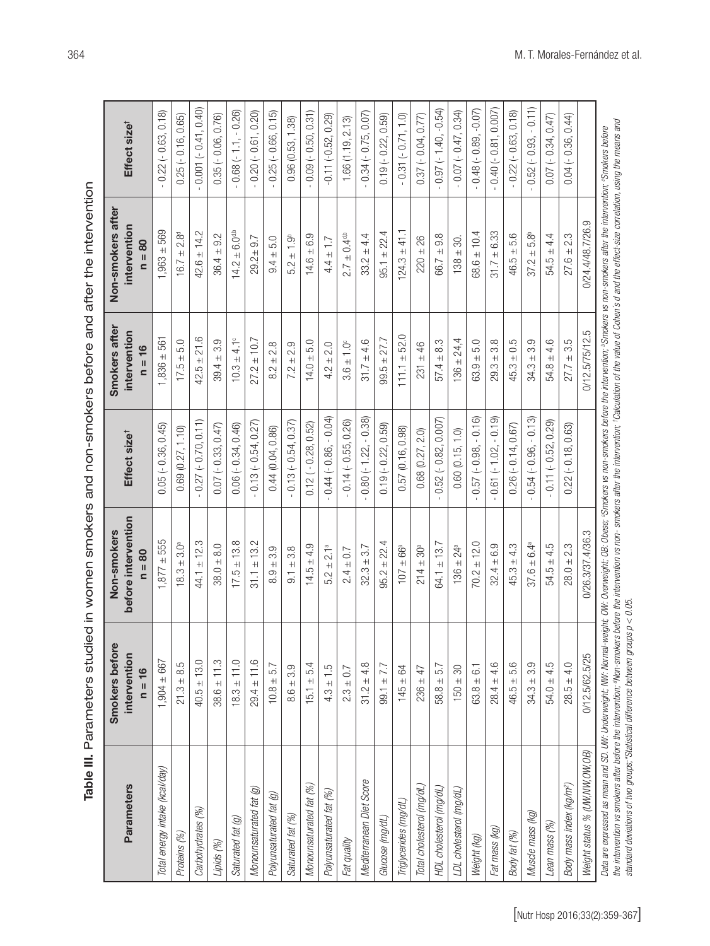| e III. Parameters studied in women smokers and non-smokers before and after the interver |
|------------------------------------------------------------------------------------------|
|                                                                                          |
|                                                                                          |
|                                                                                          |

| <b>Parameters</b>                    | Smokers before<br>intervention<br>16<br>$\mathbf{II}$ | before intervention<br>Non-smokers<br>$= 80$ | Effect size <sup>t</sup>  | Smokers after<br>intervention<br>16<br>$\sf II$<br>$\mathbf{C}$ | Non-smokers after<br>intervention<br>80<br>$\mathbf{II}$<br>$\overline{\mathbf{z}}$ | Effect size <sup>t</sup>     |
|--------------------------------------|-------------------------------------------------------|----------------------------------------------|---------------------------|-----------------------------------------------------------------|-------------------------------------------------------------------------------------|------------------------------|
| Total energy intake (kcal/day)       | $1,904 \pm 667$                                       | $.877 \pm 555$                               | $0.05 (-0.36, 0.45)$      | $1,836 \pm 561$                                                 | $1,963 \pm 569$                                                                     | $0.22$ ( $-0.63, 0.18$ )     |
| Proteins (%)                         | $21.3 + 8.5$                                          | 3.0 <sup>a</sup><br>$18.3 + 1$               | 0.69(0.27, 1.10)          | $17.5 \pm 5.0$                                                  | 2.8 <sup>d</sup><br>$16.7 \pm 1$                                                    | $0.25(-0.16, 0.65)$          |
| Carbohydrates (%)                    | $40.5 \pm 13.0$                                       | $44.1 \pm 12.3$                              | $0.27 (-0.70, 0.11)$      | $42.5 \pm 21.6$                                                 | $42.6 \pm 14.2$                                                                     | $0.001 (-0.41, 0.40)$        |
| Lipids (%)                           | 11.3<br>$38.6 \pm 1$                                  | $38.0 + 8.0$                                 | $0.07 (-0.33, 0.47)$      | 3.9<br>$+$<br>39.4                                              | $36.4 \pm 9.2$                                                                      | $0.35 (-0.06, 0.76)$         |
| Saturated fat (g)                    | $18.3 \pm 11.0$                                       | $17.5 \pm 13.8$                              | $0.06 (-0.34, 0.46)$      | $10.3 \pm 4.1^{\circ}$                                          | $14.2 \pm 6.0$ <sup>d,b</sup>                                                       | $0.68(-1.1,-0.26)$           |
| Monounsaturated fat (g)              | $29.4 \pm 11.6$                                       | ± 13.2<br>31.1                               | $0.13 (-0.54, 0.27)$      | $27.2 \pm 10.7$                                                 | 9.7<br>$29.2 \pm 1$                                                                 | $-0.20(-0.61, 0.20)$         |
| Polyunsaturated fat (g)              | $10.8 \pm 5.7$                                        | $8.9 + 3.9$                                  | 0.44(0.04, 0.86)          | $8.2 \pm 2.8$                                                   | $9.4 \pm 5.0$                                                                       | $-0.25(-0.66, 0.15)$         |
| Saturated fat (%)                    | 3.9<br>$+$<br>8.6                                     | ± 3.8<br>$\overline{9}$ .                    | $0.13 (-0.54, 0.37)$      | $7.2 \pm 2.9$                                                   | $5.2 \pm 1.9^{\circ}$                                                               | 0.96(0.53, 1.38)             |
| Monounsaturated fat (%)              | $15.1 \pm 5.4$                                        | $14.5 \pm 4.9$                               | $0.12 (-0.28, 0.52)$      | $14.0 \pm 5.0$                                                  | $14.6 \pm 6.9$                                                                      | $0.09(-0.50, 0.31)$          |
| Polyunsaturated fat (%)              | $4.3 \pm 1.5$                                         | $5.2 \pm 2.1^a$                              | $-0.44 (-0.86, -0.04)$    | $\pm 2.0$<br>4.2                                                | $4.4 \pm$                                                                           | $-0.11(-0.52, 0.29)$         |
| Fat quality                          | $2.3 \pm 0.7$                                         | $2.4 \pm 0.7$                                | $-0.14(-0.55, 0.26)$      | $3.6 \pm 1.0^{\circ}$                                           | $2.7 \pm 0.4$ <sup>d,b</sup>                                                        | 1.66 (1.19, 2.13)            |
| Mediterranean Diet Score             | 4.8<br>$31.2 \pm 4$                                   | $32.3 \pm 3.7$                               | $0.80$ ( $-1.22, -0.38$ ) | $\pm 4.6$<br>31.7                                               | $33.2 \pm 4.4$                                                                      | $0.34 (-0.75, 0.07)$         |
| Glucose (mg/dL)                      | $99.1 \pm 7.7$                                        | $95.2 \pm 22.4$                              | $0.19 (-0.22, 0.59)$      | $99.5 \pm 27.7$                                                 | $95.1 \pm 22.4$                                                                     | $0.19 (-0.22, 0.59)$         |
| Triglycerides (mg/dL)                | $145 \pm 64$                                          | $\pm$ 66ª<br>107                             | 0.57(0.16, 0.98)          | $111.1 + 52.0$                                                  | $124.3 \pm 41.1$                                                                    | $0.31 (-0.71, 1.0)$          |
| Total cholesterol (mg/dL)            | $236 \pm 47$                                          | $214 \pm 30^a$                               | $0.68$ $(0.27, 2.0)$      | $231 \pm 46$                                                    | $220 \pm 26$                                                                        | $0.37 (-0.04, 0.77)$         |
| HDL cholesterol (mg/dL)              | $58.8 \pm 5.7$                                        | $64.1 \pm 13.7$                              | $0.52 (-0.82, 0.007)$     | $57.4 \pm 8.3$                                                  | $66.7 \pm 9.8$                                                                      | $0.97 (-1.40, -0.54)$        |
| LDL cholesterol (mg/dL)              | $150 \pm 30$                                          | $136 \pm 24^a$                               | 0.60(0.15, 1.0)           | $136 \pm 24,4$                                                  | $138 \pm 30$ .                                                                      | $-0.07(-0.47, 0.34)$         |
| Weight (kg)                          | $63.8 \pm 6.1$                                        | $70.2 \pm 12.0$                              | $0.57 (-0.98, -0.16)$     | $63.9 + 5.0$                                                    | $68.6 \pm 10.4$                                                                     | $0.48(-0.89,-0.07)$          |
| Fat mass (kg)                        | $28.4 \pm 4.6$                                        | $32.4 \pm 6.9$                               | $-0.61(-1.02, -0.19)$     | $29.3 \pm 3.8$                                                  | $31.7 \pm 6.33$                                                                     | $0.40$ ( $-0.81$ , $0.007$ ) |
| Body fat (%)                         | $46.5 + 5.6$                                          | $45.3 \pm 4.3$                               | $0.26(-0.14, 0.67)$       | $45.3 \pm 0.5$                                                  | $46.5 \pm 5.6$                                                                      | $0.22(-0.63, 0.18)$          |
| Muscle mass (kg)                     | $34.3 + 3.9$                                          | $37.6 \pm 6.4^a$                             | $-0.54(-0.96, -0.13)$     | $34.3 \pm 3.9$                                                  | $37.2 \pm 5.8^{\circ}$                                                              | $0.52$ ( $-0.93, -0.11$ )    |
| Lean mass (%)                        | $54.0 \pm 4.5$                                        | $54.5 \pm 4.5$                               | $0.11 (-0.52, 0.29)$      | $54.8 \pm 4.6$                                                  | $54.5 \pm 4.4$                                                                      | $0.07 (-0.34, 0.47)$         |
| Body mass index (kg/m <sup>2</sup> ) | $28.5 \pm 4.0$                                        | $28.0 \pm 2.3$                               | $0.22 (-0.18, 0.63)$      | $27.7 \pm 3.5$                                                  | $27.6 \pm 2.3$                                                                      | $0.04 (-0.36, 0.44)$         |
| Weight status % (UW, NW, OW, OB)     | 0/12.5/62.5/25                                        | 0/26.3/37.4/36.3                             |                           | 0/12.5/75/12.5                                                  | 0/24.4/48.7/26.9                                                                    |                              |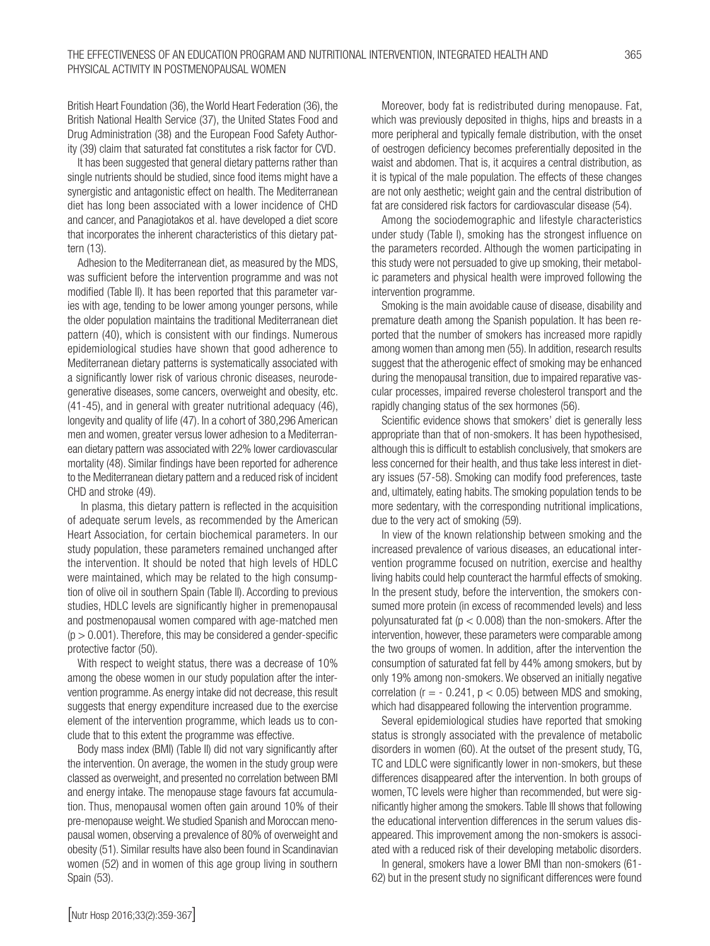British Heart Foundation (36), the World Heart Federation (36), the British National Health Service (37), the United States Food and Drug Administration (38) and the European Food Safety Authority (39) claim that saturated fat constitutes a risk factor for CVD.

It has been suggested that general dietary patterns rather than single nutrients should be studied, since food items might have a synergistic and antagonistic effect on health. The Mediterranean diet has long been associated with a lower incidence of CHD and cancer, and Panagiotakos et al. have developed a diet score that incorporates the inherent characteristics of this dietary pattern (13).

Adhesion to the Mediterranean diet, as measured by the MDS, was sufficient before the intervention programme and was not modified (Table II). It has been reported that this parameter varies with age, tending to be lower among younger persons, while the older population maintains the traditional Mediterranean diet pattern (40), which is consistent with our findings. Numerous epidemiological studies have shown that good adherence to Mediterranean dietary patterns is systematically associated with a significantly lower risk of various chronic diseases, neurodegenerative diseases, some cancers, overweight and obesity, etc. (41-45), and in general with greater nutritional adequacy (46), longevity and quality of life (47). In a cohort of 380,296 American men and women, greater versus lower adhesion to a Mediterranean dietary pattern was associated with 22% lower cardiovascular mortality (48). Similar findings have been reported for adherence to the Mediterranean dietary pattern and a reduced risk of incident CHD and stroke (49).

 In plasma, this dietary pattern is reflected in the acquisition of adequate serum levels, as recommended by the American Heart Association, for certain biochemical parameters. In our study population, these parameters remained unchanged after the intervention. It should be noted that high levels of HDLC were maintained, which may be related to the high consumption of olive oil in southern Spain (Table II). According to previous studies, HDLC levels are significantly higher in premenopausal and postmenopausal women compared with age-matched men  $(p > 0.001)$ . Therefore, this may be considered a gender-specific protective factor (50).

With respect to weight status, there was a decrease of 10% among the obese women in our study population after the intervention programme. As energy intake did not decrease, this result suggests that energy expenditure increased due to the exercise element of the intervention programme, which leads us to conclude that to this extent the programme was effective.

Body mass index (BMI) (Table II) did not vary significantly after the intervention. On average, the women in the study group were classed as overweight, and presented no correlation between BMI and energy intake. The menopause stage favours fat accumulation. Thus, menopausal women often gain around 10% of their pre-menopause weight. We studied Spanish and Moroccan menopausal women, observing a prevalence of 80% of overweight and obesity (51). Similar results have also been found in Scandinavian women (52) and in women of this age group living in southern Spain (53).

Moreover, body fat is redistributed during menopause. Fat, which was previously deposited in thighs, hips and breasts in a more peripheral and typically female distribution, with the onset of oestrogen deficiency becomes preferentially deposited in the waist and abdomen. That is, it acquires a central distribution, as it is typical of the male population. The effects of these changes are not only aesthetic; weight gain and the central distribution of fat are considered risk factors for cardiovascular disease (54).

Among the sociodemographic and lifestyle characteristics under study (Table I), smoking has the strongest influence on the parameters recorded. Although the women participating in this study were not persuaded to give up smoking, their metabolic parameters and physical health were improved following the intervention programme.

Smoking is the main avoidable cause of disease, disability and premature death among the Spanish population. It has been reported that the number of smokers has increased more rapidly among women than among men (55). In addition, research results suggest that the atherogenic effect of smoking may be enhanced during the menopausal transition, due to impaired reparative vascular processes, impaired reverse cholesterol transport and the rapidly changing status of the sex hormones (56).

Scientific evidence shows that smokers' diet is generally less appropriate than that of non-smokers. It has been hypothesised, although this is difficult to establish conclusively, that smokers are less concerned for their health, and thus take less interest in dietary issues (57-58). Smoking can modify food preferences, taste and, ultimately, eating habits. The smoking population tends to be more sedentary, with the corresponding nutritional implications, due to the very act of smoking (59).

In view of the known relationship between smoking and the increased prevalence of various diseases, an educational intervention programme focused on nutrition, exercise and healthy living habits could help counteract the harmful effects of smoking. In the present study, before the intervention, the smokers consumed more protein (in excess of recommended levels) and less polyunsaturated fat ( $p < 0.008$ ) than the non-smokers. After the intervention, however, these parameters were comparable among the two groups of women. In addition, after the intervention the consumption of saturated fat fell by 44% among smokers, but by only 19% among non-smokers. We observed an initially negative correlation ( $r = -0.241$ ,  $p < 0.05$ ) between MDS and smoking, which had disappeared following the intervention programme.

Several epidemiological studies have reported that smoking status is strongly associated with the prevalence of metabolic disorders in women (60). At the outset of the present study, TG, TC and LDLC were significantly lower in non-smokers, but these differences disappeared after the intervention. In both groups of women, TC levels were higher than recommended, but were significantly higher among the smokers. Table III shows that following the educational intervention differences in the serum values disappeared. This improvement among the non-smokers is associated with a reduced risk of their developing metabolic disorders.

In general, smokers have a lower BMI than non-smokers (61- 62) but in the present study no significant differences were found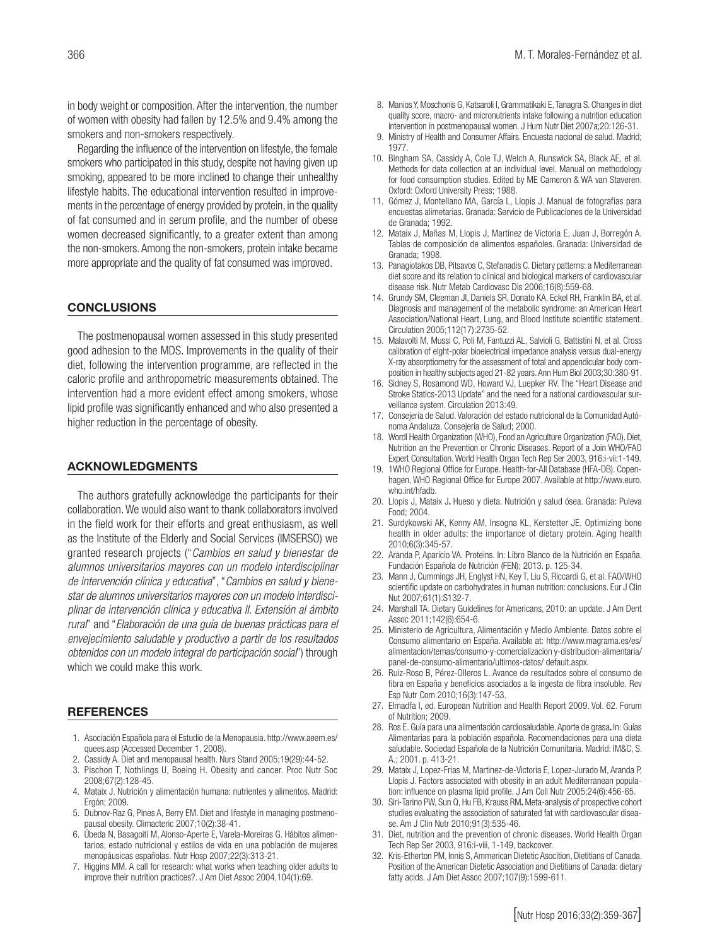in body weight or composition. After the intervention, the number of women with obesity had fallen by 12.5% and 9.4% among the smokers and non-smokers respectively.

Regarding the influence of the intervention on lifestyle, the female smokers who participated in this study, despite not having given up smoking, appeared to be more inclined to change their unhealthy lifestyle habits. The educational intervention resulted in improvements in the percentage of energy provided by protein, in the quality of fat consumed and in serum profile, and the number of obese women decreased significantly, to a greater extent than among the non-smokers. Among the non-smokers, protein intake became more appropriate and the quality of fat consumed was improved.

## **CONCLUSIONS**

The postmenopausal women assessed in this study presented good adhesion to the MDS. Improvements in the quality of their diet, following the intervention programme, are reflected in the caloric profile and anthropometric measurements obtained. The intervention had a more evident effect among smokers, whose lipid profile was significantly enhanced and who also presented a higher reduction in the percentage of obesity.

#### ACKNOWLEDGMENTS

The authors gratefully acknowledge the participants for their collaboration. We would also want to thank collaborators involved in the field work for their efforts and great enthusiasm, as well as the Institute of the Elderly and Social Services (IMSERSO) we granted research projects ("*Cambios en salud y bienestar de alumnos universitarios mayores con un modelo interdisciplinar de intervención clínica y educativa*", "*Cambios en salud y bienestar de alumnos universitarios mayores con un modelo interdisciplinar de intervención clínica y educativa II. Extensión al ámbito rural*" and "*Elaboración de una guía de buenas prácticas para el envejecimiento saludable y productivo a partir de los resultados obtenidos con un modelo integral de participación social*") through which we could make this work.

#### REFERENCES

- 1. Asociación Española para el Estudio de la Menopausia. http://www.aeem.es/ quees.asp (Accessed December 1, 2008).
- 2. Cassidy A. Diet and menopausal health. Nurs Stand 2005;19(29):44-52.
- 3. Pischon T, Nothlings U, Boeing H. Obesity and cancer. Proc Nutr Soc 2008;67(2):128-45.
- 4. Mataix J. Nutrición y alimentación humana: nutrientes y alimentos. Madrid: Ergón; 2009.
- 5. Dubnov-Raz G, Pines A, Berry EM. Diet and lifestyle in managing postmenopausal obesity. Climacteric 2007;10(2):38-41.
- 6. Úbeda N, Basagoiti M, Alonso-Aperte E, Varela-Moreiras G. Hábitos alimentarios, estado nutricional y estilos de vida en una población de mujeres menopáusicas españolas. Nutr Hosp 2007;22(3):313-21.
- 7. Higgins MM. A call for research: what works when teaching older adults to improve their nutrition practices?. J Am Diet Assoc 2004,104(1):69.
- 8. Manios Y, Moschonis G, Katsaroli I, Grammatikaki E, Tanagra S. Changes in diet quality score, macro- and micronutrients intake following a nutrition education intervention in postmenopausal women. J Hum Nutr Diet 2007a;20:126-31.
- 9. Ministry of Health and Consumer Affairs. Encuesta nacional de salud. Madrid; 1977.
- 10. Bingham SA, Cassidy A, Cole TJ, Welch A, Runswick SA, Black AE, et al. Methods for data collection at an individual level. Manual on methodology for food consumption studies. Edited by ME Cameron & WA van Staveren. Oxford: Oxford University Press; 1988.
- 11. Gómez J, Montellano MA, García L, Llopis J. Manual de fotografías para encuestas alimetarias. Granada: Servicio de Publicaciones de la Universidad de Granada; 1992.
- 12. Mataix J, Mañas M, Llopis J, Martínez de Victoria E, Juan J, Borregón A. Tablas de composición de alimentos españoles. Granada: Universidad de Granada; 1998.
- 13. Panagiotakos DB, Pitsavos C, Stefanadis C. Dietary patterns: a Mediterranean diet score and its relation to clinical and biological markers of cardiovascular disease risk. Nutr Metab Cardiovasc Dis 2006;16(8):559-68.
- 14. Grundy SM, Cleeman JI, Daniels SR, Donato KA, Eckel RH, Franklin BA, et al. Diagnosis and management of the metabolic syndrome: an American Heart Association/National Heart, Lung, and Blood Institute scientific statement. Circulation 2005;112(17):2735-52.
- 15. Malavolti M, Mussi C, Poli M, Fantuzzi AL, Salvioli G, Battistini N, et al. Cross calibration of eight-polar bioelectrical impedance analysis versus dual-energy X-ray absorptiometry for the assessment of total and appendicular body composition in healthy subjects aged 21-82 years. Ann Hum Biol 2003;30:380-91.
- 16. Sidney S, Rosamond WD, Howard VJ, Luepker RV. The "Heart Disease and Stroke Statics-2013 Update" and the need for a national cardiovascular surveillance system*.* Circulation 2013:49.
- 17. Consejería de Salud. Valoración del estado nutricional de la Comunidad Autónoma Andaluza. Consejería de Salud; 2000.
- 18. Wordl Health Organization (WHO), Food an Agriculture Organization (FAO). Diet, Nutrition an the Prevention or Chronic Diseases. Report of a Join WHO/FAO Expert Consultation. World Health Organ Tech Rep Ser 2003, 916:i-vii;1-149.
- 19. 1WHO Regional Office for Europe. Health-for-All Database (HFA-DB). Copenhagen, WHO Regional Office for Europe 2007. Available at http://www.euro. who.int/hfadb.
- 20. Llopis J, Mataix J. Hueso y dieta. Nutrición y salud ósea. Granada: Puleva Food; 2004.
- 21. Surdykowski AK, Kenny AM, Insogna KL, Kerstetter JE. Optimizing bone health in older adults: the importance of dietary protein. Aging health 2010;6(3):345-57.
- 22. Aranda P, Aparicio VA. Proteins. In: Libro Blanco de la Nutrición en España. Fundación Española de Nutrición (FEN); 2013. p. 125-34.
- 23. Mann J, Cummings JH, Englyst HN, Key T, Liu S, Riccardi G, et al. FAO/WHO scientific update on carbohydrates in human nutrition: conclusions. Eur J Clin Nut 2007;61(1):S132-7.
- 24. Marshall TA. Dietary Guidelines for Americans, 2010: an update. J Am Dent Assoc 2011;142(6):654-6.
- 25. Ministerio de Agricultura, Alimentación y Medio Ambiente. Datos sobre el Consumo alimentario en España. Available at: http://www.magrama.es/es/ alimentacion/temas/consumo-y-comercializacion y-distribucion-alimentaria/ panel-de-consumo-alimentario/ultimos-datos/ default.aspx.
- 26. Ruiz-Roso B, Pérez-Olleros L. Avance de resultados sobre el consumo de fibra en España y beneficios asociados a la ingesta de fibra insoluble. Rev Esp Nutr Com 2010;16(3):147-53.
- 27. Elmadfa I, ed. European Nutrition and Health Report 2009. Vol. 62. Forum of Nutrition; 2009.
- 28. Ros E. Guía para una alimentación cardiosaludable. Aporte de grasa. In: Guías Alimentarias para la población española. Recomendaciones para una dieta saludable. Sociedad Española de la Nutrición Comunitaria. Madrid: IM&C, S. A.; 2001. p. 413-21.
- 29. Mataix J, Lopez-Frias M, Martinez-de-Victoria E, Lopez-Jurado M, Aranda P, Llopis J. Factors associated with obesity in an adult Mediterranean population: influence on plasma lipid profile. J Am Coll Nutr 2005;24(6):456-65.
- 30. Siri-Tarino PW, Sun Q, Hu FB, Krauss RM. Meta-analysis of prospective cohort studies evaluating the association of saturated fat with cardiovascular disease. Am J Clin Nutr 2010;91(3):535-46.
- 31. Diet, nutrition and the prevention of chronic diseases. World Health Organ Tech Rep Ser 2003, 916:i-viii, 1-149, backcover.
- 32. Kris-Etherton PM, Innis S, Ammerican Dietetic Asocition, Dietitians of Canada. Position of the American Dietetic Association and Dietitians of Canada: dietary fatty acids. J Am Diet Assoc 2007;107(9):1599-611.